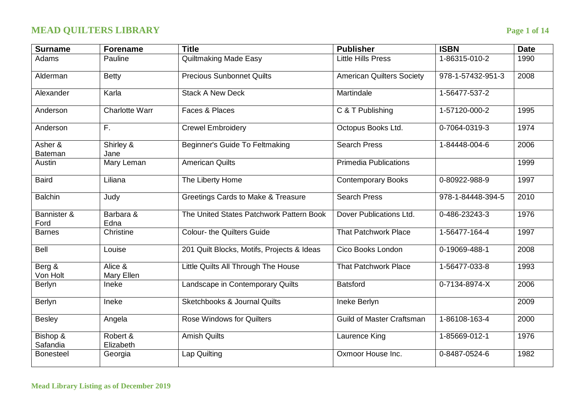# **MEAD QUILTERS LIBRARY Page 1 of 14**

| <b>Surname</b>            | <b>Forename</b>       | <b>Title</b>                               | <b>Publisher</b>                 | <b>ISBN</b>       | <b>Date</b> |
|---------------------------|-----------------------|--------------------------------------------|----------------------------------|-------------------|-------------|
| Adams                     | Pauline               | <b>Quiltmaking Made Easy</b>               | <b>Little Hills Press</b>        | 1-86315-010-2     | 1990        |
| Alderman                  | <b>Betty</b>          | <b>Precious Sunbonnet Quilts</b>           | <b>American Quilters Society</b> | 978-1-57432-951-3 | 2008        |
| Alexander                 | Karla                 | <b>Stack A New Deck</b>                    | Martindale                       | 1-56477-537-2     |             |
| Anderson                  | <b>Charlotte Warr</b> | Faces & Places                             | C & T Publishing                 | 1-57120-000-2     | 1995        |
| Anderson                  | F.                    | <b>Crewel Embroidery</b>                   | Octopus Books Ltd.               | 0-7064-0319-3     | 1974        |
| Asher &<br><b>Bateman</b> | Shirley &<br>Jane     | Beginner's Guide To Feltmaking             | <b>Search Press</b>              | 1-84448-004-6     | 2006        |
| Austin                    | Mary Leman            | <b>American Quilts</b>                     | <b>Primedia Publications</b>     |                   | 1999        |
| <b>Baird</b>              | Liliana               | The Liberty Home                           | <b>Contemporary Books</b>        | 0-80922-988-9     | 1997        |
| <b>Balchin</b>            | Judy                  | Greetings Cards to Make & Treasure         | <b>Search Press</b>              | 978-1-84448-394-5 | 2010        |
| Bannister &<br>Ford       | Barbara &<br>Edna     | The United States Patchwork Pattern Book   | Dover Publications Ltd.          | 0-486-23243-3     | 1976        |
| <b>Barnes</b>             | Christine             | <b>Colour- the Quilters Guide</b>          | <b>That Patchwork Place</b>      | 1-56477-164-4     | 1997        |
| Bell                      | Louise                | 201 Quilt Blocks, Motifs, Projects & Ideas | Cico Books London                | 0-19069-488-1     | 2008        |
| Berg &<br>Von Holt        | Alice &<br>Mary Ellen | Little Quilts All Through The House        | <b>That Patchwork Place</b>      | 1-56477-033-8     | 1993        |
| Berlyn                    | Ineke                 | Landscape in Contemporary Quilts           | <b>Batsford</b>                  | 0-7134-8974-X     | 2006        |
| Berlyn                    | Ineke                 | <b>Sketchbooks &amp; Journal Quilts</b>    | Ineke Berlyn                     |                   | 2009        |
| <b>Besley</b>             | Angela                | <b>Rose Windows for Quilters</b>           | <b>Guild of Master Craftsman</b> | 1-86108-163-4     | 2000        |
| Bishop &<br>Safandia      | Robert &<br>Elizabeth | <b>Amish Quilts</b>                        | Laurence King                    | 1-85669-012-1     | 1976        |
| <b>Bonesteel</b>          | Georgia               | Lap Quilting                               | Oxmoor House Inc.                | 0-8487-0524-6     | 1982        |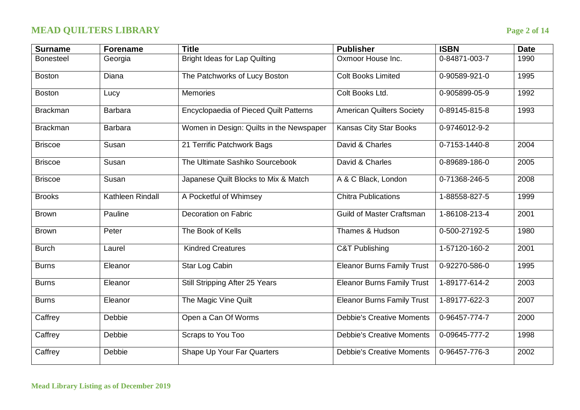# **MEAD QUILTERS LIBRARY Page 2 of 14**

| <b>Surname</b>   | <b>Forename</b>  | <b>Title</b>                             | <b>Publisher</b>                  | <b>ISBN</b>           | <b>Date</b> |
|------------------|------------------|------------------------------------------|-----------------------------------|-----------------------|-------------|
| <b>Bonesteel</b> | Georgia          | <b>Bright Ideas for Lap Quilting</b>     | Oxmoor House Inc.                 | 0-84871-003-7         | 1990        |
| <b>Boston</b>    | Diana            | The Patchworks of Lucy Boston            | <b>Colt Books Limited</b>         | 0-90589-921-0         | 1995        |
| <b>Boston</b>    | Lucy             | Memories                                 | Colt Books Ltd.                   | 0-905899-05-9         | 1992        |
| <b>Brackman</b>  | <b>Barbara</b>   | Encyclopaedia of Pieced Quilt Patterns   | <b>American Quilters Society</b>  | $0 - 89145 - 815 - 8$ | 1993        |
| <b>Brackman</b>  | <b>Barbara</b>   | Women in Design: Quilts in the Newspaper | <b>Kansas City Star Books</b>     | 0-9746012-9-2         |             |
| <b>Briscoe</b>   | Susan            | 21 Terrific Patchwork Bags               | David & Charles                   | 0-7153-1440-8         | 2004        |
| <b>Briscoe</b>   | Susan            | The Ultimate Sashiko Sourcebook          | David & Charles                   | 0-89689-186-0         | 2005        |
| <b>Briscoe</b>   | Susan            | Japanese Quilt Blocks to Mix & Match     | A & C Black, London               | 0-71368-246-5         | 2008        |
| <b>Brooks</b>    | Kathleen Rindall | A Pocketful of Whimsey                   | <b>Chitra Publications</b>        | 1-88558-827-5         | 1999        |
| <b>Brown</b>     | Pauline          | Decoration on Fabric                     | <b>Guild of Master Craftsman</b>  | 1-86108-213-4         | 2001        |
| <b>Brown</b>     | Peter            | The Book of Kells                        | Thames & Hudson                   | 0-500-27192-5         | 1980        |
| <b>Burch</b>     | Laurel           | <b>Kindred Creatures</b>                 | <b>C&amp;T Publishing</b>         | $1-57120-160-2$       | 2001        |
| <b>Burns</b>     | Eleanor          | Star Log Cabin                           | <b>Eleanor Burns Family Trust</b> | 0-92270-586-0         | 1995        |
| <b>Burns</b>     | Eleanor          | Still Stripping After 25 Years           | <b>Eleanor Burns Family Trust</b> | 1-89177-614-2         | 2003        |
| <b>Burns</b>     | Eleanor          | The Magic Vine Quilt                     | <b>Eleanor Burns Family Trust</b> | 1-89177-622-3         | 2007        |
| Caffrey          | Debbie           | Open a Can Of Worms                      | <b>Debbie's Creative Moments</b>  | 0-96457-774-7         | 2000        |
| Caffrey          | Debbie           | Scraps to You Too                        | <b>Debbie's Creative Moments</b>  | 0-09645-777-2         | 1998        |
| Caffrey          | Debbie           | Shape Up Your Far Quarters               | <b>Debbie's Creative Moments</b>  | 0-96457-776-3         | 2002        |
|                  |                  |                                          |                                   |                       |             |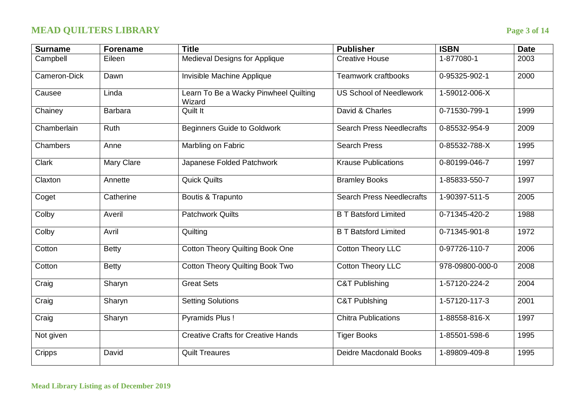# **MEAD QUILTERS LIBRARY Page 3 of 14**

| <b>Surname</b> | <b>Forename</b> | <b>Title</b>                                    | <b>Publisher</b>                 | <b>ISBN</b>     | <b>Date</b> |
|----------------|-----------------|-------------------------------------------------|----------------------------------|-----------------|-------------|
| Campbell       | Eileen          | Medieval Designs for Applique                   | <b>Creative House</b>            | 1-877080-1      | 2003        |
| Cameron-Dick   | Dawn            | Invisible Machine Applique                      | Teamwork craftbooks              | 0-95325-902-1   | 2000        |
| Causee         | Linda           | Learn To Be a Wacky Pinwheel Quilting<br>Wizard | <b>US School of Needlework</b>   | 1-59012-006-X   |             |
| Chainey        | <b>Barbara</b>  | Quilt It                                        | David & Charles                  | 0-71530-799-1   | 1999        |
| Chamberlain    | Ruth            | <b>Beginners Guide to Goldwork</b>              | <b>Search Press Needlecrafts</b> | 0-85532-954-9   | 2009        |
| Chambers       | Anne            | Marbling on Fabric                              | <b>Search Press</b>              | 0-85532-788-X   | 1995        |
| <b>Clark</b>   | Mary Clare      | Japanese Folded Patchwork                       | <b>Krause Publications</b>       | 0-80199-046-7   | 1997        |
| Claxton        | Annette         | <b>Quick Quilts</b>                             | <b>Bramley Books</b>             | 1-85833-550-7   | 1997        |
| Coget          | Catherine       | Boutis & Trapunto                               | <b>Search Press Needlecrafts</b> | 1-90397-511-5   | 2005        |
| Colby          | Averil          | <b>Patchwork Quilts</b>                         | <b>B T Batsford Limited</b>      | 0-71345-420-2   | 1988        |
| Colby          | Avril           | Quilting                                        | <b>B T Batsford Limited</b>      | 0-71345-901-8   | 1972        |
| Cotton         | <b>Betty</b>    | <b>Cotton Theory Quilting Book One</b>          | <b>Cotton Theory LLC</b>         | 0-97726-110-7   | 2006        |
| Cotton         | <b>Betty</b>    | <b>Cotton Theory Quilting Book Two</b>          | <b>Cotton Theory LLC</b>         | 978-09800-000-0 | 2008        |
| Craig          | Sharyn          | <b>Great Sets</b>                               | <b>C&amp;T Publishing</b>        | 1-57120-224-2   | 2004        |
| Craig          | Sharyn          | <b>Setting Solutions</b>                        | <b>C&amp;T Publshing</b>         | 1-57120-117-3   | 2001        |
| Craig          | Sharyn          | Pyramids Plus!                                  | <b>Chitra Publications</b>       | 1-88558-816-X   | 1997        |
| Not given      |                 | <b>Creative Crafts for Creative Hands</b>       | <b>Tiger Books</b>               | 1-85501-598-6   | 1995        |
| Cripps         | David           | <b>Quilt Treaures</b>                           | <b>Deidre Macdonald Books</b>    | 1-89809-409-8   | 1995        |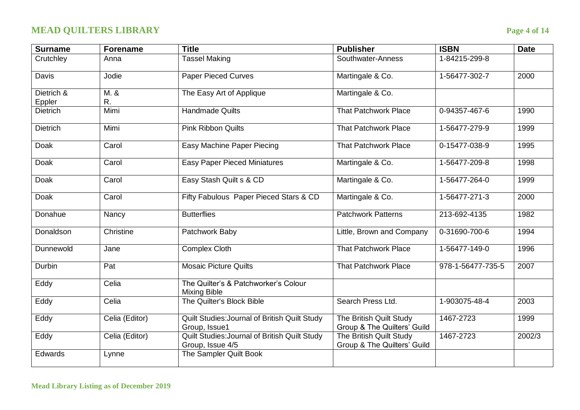# **MEAD QUILTERS LIBRARY Page 4 of 14**

| <b>Surname</b>       | <b>Forename</b> | <b>Title</b>                                                      | <b>Publisher</b>                                       | <b>ISBN</b>       | <b>Date</b> |
|----------------------|-----------------|-------------------------------------------------------------------|--------------------------------------------------------|-------------------|-------------|
| Crutchley            | Anna            | <b>Tassel Making</b>                                              | Southwater-Anness                                      | 1-84215-299-8     |             |
| Davis                | Jodie           | <b>Paper Pieced Curves</b>                                        | Martingale & Co.                                       | 1-56477-302-7     | 2000        |
| Dietrich &<br>Eppler | M. &<br>R.      | The Easy Art of Applique                                          | Martingale & Co.                                       |                   |             |
| <b>Dietrich</b>      | Mimi            | <b>Handmade Quilts</b>                                            | <b>That Patchwork Place</b>                            | 0-94357-467-6     | 1990        |
| <b>Dietrich</b>      | Mimi            | <b>Pink Ribbon Quilts</b>                                         | <b>That Patchwork Place</b>                            | 1-56477-279-9     | 1999        |
| Doak                 | Carol           | <b>Easy Machine Paper Piecing</b>                                 | <b>That Patchwork Place</b>                            | 0-15477-038-9     | 1995        |
| Doak                 | Carol           | <b>Easy Paper Pieced Miniatures</b>                               | Martingale & Co.                                       | 1-56477-209-8     | 1998        |
| Doak                 | Carol           | Easy Stash Quilt s & CD                                           | Martingale & Co.                                       | 1-56477-264-0     | 1999        |
| <b>Doak</b>          | Carol           | Fifty Fabulous Paper Pieced Stars & CD                            | Martingale & Co.                                       | 1-56477-271-3     | 2000        |
| Donahue              | Nancy           | <b>Butterflies</b>                                                | <b>Patchwork Patterns</b>                              | 213-692-4135      | 1982        |
| Donaldson            | Christine       | Patchwork Baby                                                    | Little, Brown and Company                              | 0-31690-700-6     | 1994        |
| Dunnewold            | Jane            | <b>Complex Cloth</b>                                              | <b>That Patchwork Place</b>                            | 1-56477-149-0     | 1996        |
| Durbin               | Pat             | <b>Mosaic Picture Quilts</b>                                      | <b>That Patchwork Place</b>                            | 978-1-56477-735-5 | 2007        |
| Eddy                 | Celia           | The Quilter's & Patchworker's Colour<br><b>Mixing Bible</b>       |                                                        |                   |             |
| Eddy                 | Celia           | The Quilter's Block Bible                                         | Search Press Ltd.                                      | 1-903075-48-4     | 2003        |
| Eddy                 | Celia (Editor)  | Quilt Studies: Journal of British Quilt Study<br>Group, Issue1    | The British Quilt Study<br>Group & The Quilters' Guild | 1467-2723         | 1999        |
| Eddy                 | Celia (Editor)  | Quilt Studies: Journal of British Quilt Study<br>Group, Issue 4/5 | The British Quilt Study<br>Group & The Quilters' Guild | 1467-2723         | 2002/3      |
| Edwards              | Lynne           | The Sampler Quilt Book                                            |                                                        |                   |             |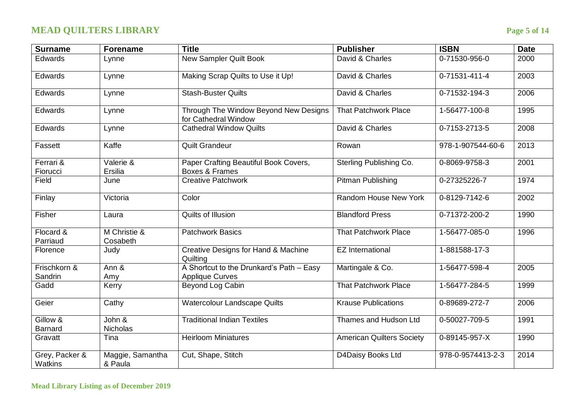# **MEAD QUILTERS LIBRARY Page 5 of 14**

| <b>Surname</b>             | <b>Forename</b>             | <b>Title</b>                                                       | <b>Publisher</b>                 | <b>ISBN</b>           | <b>Date</b> |
|----------------------------|-----------------------------|--------------------------------------------------------------------|----------------------------------|-----------------------|-------------|
| Edwards                    | Lynne                       | <b>New Sampler Quilt Book</b>                                      | David & Charles                  | 0-71530-956-0         | 2000        |
| Edwards                    | Lynne                       | Making Scrap Quilts to Use it Up!                                  | David & Charles                  | 0-71531-411-4         | 2003        |
| Edwards                    | Lynne                       | <b>Stash-Buster Quilts</b>                                         | David & Charles                  | 0-71532-194-3         | 2006        |
| Edwards                    | Lynne                       | Through The Window Beyond New Designs<br>for Cathedral Window      | <b>That Patchwork Place</b>      | 1-56477-100-8         | 1995        |
| Edwards                    | Lynne                       | <b>Cathedral Window Quilts</b>                                     | David & Charles                  | 0-7153-2713-5         | 2008        |
| Fassett                    | Kaffe                       | <b>Quilt Grandeur</b>                                              | Rowan                            | 978-1-907544-60-6     | 2013        |
| Ferrari &<br>Fiorucci      | Valerie &<br>Ersilia        | Paper Crafting Beautiful Book Covers,<br>Boxes & Frames            | Sterling Publishing Co.          | 0-8069-9758-3         | 2001        |
| Field                      | June                        | <b>Creative Patchwork</b>                                          | Pitman Publishing                | 0-27325226-7          | 1974        |
| Finlay                     | Victoria                    | Color                                                              | Random House New York            | 0-8129-7142-6         | 2002        |
| Fisher                     | Laura                       | Quilts of Illusion                                                 | <b>Blandford Press</b>           | 0-71372-200-2         | 1990        |
| Flocard &<br>Parriaud      | M Christie &<br>Cosabeth    | <b>Patchwork Basics</b>                                            | <b>That Patchwork Place</b>      | 1-56477-085-0         | 1996        |
| Florence                   | Judy                        | Creative Designs for Hand & Machine<br>Quilting                    | <b>EZ</b> International          | 1-881588-17-3         |             |
| Frischkorn &<br>Sandrin    | Ann &<br>Amy                | A Shortcut to the Drunkard's Path - Easy<br><b>Applique Curves</b> | Martingale & Co.                 | 1-56477-598-4         | 2005        |
| Gadd                       | Kerry                       | Beyond Log Cabin                                                   | <b>That Patchwork Place</b>      | 1-56477-284-5         | 1999        |
| Geier                      | Cathy                       | <b>Watercolour Landscape Quilts</b>                                | <b>Krause Publications</b>       | 0-89689-272-7         | 2006        |
| Gillow &<br><b>Barnard</b> | John &<br><b>Nicholas</b>   | <b>Traditional Indian Textiles</b>                                 | Thames and Hudson Ltd            | 0-50027-709-5         | 1991        |
| Gravatt                    | Tina                        | <b>Heirloom Miniatures</b>                                         | <b>American Quilters Society</b> | $0 - 89145 - 957 - X$ | 1990        |
| Grey, Packer &<br>Watkins  | Maggie, Samantha<br>& Paula | Cut, Shape, Stitch                                                 | D4Daisy Books Ltd                | 978-0-9574413-2-3     | 2014        |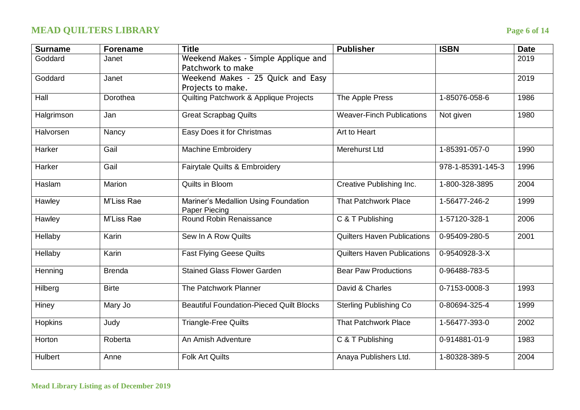# **MEAD QUILTERS LIBRARY Page 6 of 14**

| <b>Surname</b> | <b>Forename</b> | <b>Title</b>                                                 | <b>Publisher</b>                   | <b>ISBN</b>       | <b>Date</b> |
|----------------|-----------------|--------------------------------------------------------------|------------------------------------|-------------------|-------------|
| Goddard        | Janet           | Weekend Makes - Simple Applique and<br>Patchwork to make     |                                    |                   | 2019        |
| Goddard        | Janet           | Weekend Makes - 25 Quick and Easy<br>Projects to make.       |                                    |                   | 2019        |
| Hall           | Dorothea        | <b>Quilting Patchwork &amp; Applique Projects</b>            | The Apple Press                    | 1-85076-058-6     | 1986        |
| Halgrimson     | Jan             | <b>Great Scrapbag Quilts</b>                                 | <b>Weaver-Finch Publications</b>   | Not given         | 1980        |
| Halvorsen      | Nancy           | Easy Does it for Christmas                                   | Art to Heart                       |                   |             |
| Harker         | Gail            | <b>Machine Embroidery</b>                                    | <b>Merehurst Ltd</b>               | 1-85391-057-0     | 1990        |
| Harker         | Gail            | Fairytale Quilts & Embroidery                                |                                    | 978-1-85391-145-3 | 1996        |
| Haslam         | Marion          | Quilts in Bloom                                              | Creative Publishing Inc.           | 1-800-328-3895    | 2004        |
| Hawley         | M'Liss Rae      | Mariner's Medallion Using Foundation<br><b>Paper Piecing</b> | <b>That Patchwork Place</b>        | 1-56477-246-2     | 1999        |
| Hawley         | M'Liss Rae      | Round Robin Renaissance                                      | C & T Publishing                   | 1-57120-328-1     | 2006        |
| Hellaby        | Karin           | Sew In A Row Quilts                                          | <b>Quilters Haven Publications</b> | 0-95409-280-5     | 2001        |
| Hellaby        | Karin           | <b>Fast Flying Geese Quilts</b>                              | <b>Quilters Haven Publications</b> | 0-9540928-3-X     |             |
| Henning        | <b>Brenda</b>   | <b>Stained Glass Flower Garden</b>                           | <b>Bear Paw Productions</b>        | 0-96488-783-5     |             |
| Hilberg        | <b>Birte</b>    | The Patchwork Planner                                        | David & Charles                    | 0-7153-0008-3     | 1993        |
| Hiney          | Mary Jo         | <b>Beautiful Foundation-Pieced Quilt Blocks</b>              | <b>Sterling Publishing Co</b>      | 0-80694-325-4     | 1999        |
| Hopkins        | Judy            | <b>Triangle-Free Quilts</b>                                  | <b>That Patchwork Place</b>        | 1-56477-393-0     | 2002        |
| Horton         | Roberta         | An Amish Adventure                                           | C & T Publishing                   | 0-914881-01-9     | 1983        |
| Hulbert        | Anne            | <b>Folk Art Quilts</b>                                       | Anaya Publishers Ltd.              | 1-80328-389-5     | 2004        |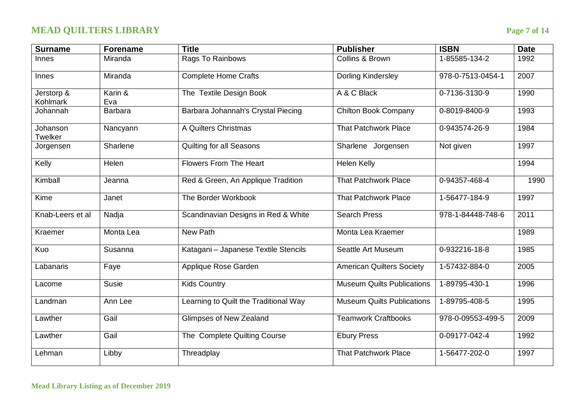# **MEAD QUILTERS LIBRARY Page 7 of 14**

| <b>Surname</b>         | <b>Forename</b> | <b>Title</b>                          | <b>Publisher</b>                  | <b>ISBN</b>       | <b>Date</b> |
|------------------------|-----------------|---------------------------------------|-----------------------------------|-------------------|-------------|
| <b>Innes</b>           | Miranda         | Rags To Rainbows                      | Collins & Brown                   | 1-85585-134-2     | 1992        |
| <b>Innes</b>           | Miranda         | <b>Complete Home Crafts</b>           | <b>Dorling Kindersley</b>         | 978-0-7513-0454-1 | 2007        |
| Jerstorp &<br>Kohlmark | Karin &<br>Eva  | The Textile Design Book               | A & C Black                       | 0-7136-3130-9     | 1990        |
| Johannah               | <b>Barbara</b>  | Barbara Johannah's Crystal Piecing    | <b>Chilton Book Company</b>       | 0-8019-8400-9     | 1993        |
| Johanson<br>Twelker    | Nancyann        | A Quilters Christmas                  | <b>That Patchwork Place</b>       | 0-943574-26-9     | 1984        |
| Jorgensen              | Sharlene        | <b>Quilting for all Seasons</b>       | Sharlene Jorgensen                | Not given         | 1997        |
| Kelly                  | Helen           | <b>Flowers From The Heart</b>         | <b>Helen Kelly</b>                |                   | 1994        |
| Kimball                | Jeanna          | Red & Green, An Applique Tradition    | <b>That Patchwork Place</b>       | 0-94357-468-4     | 1990        |
| Kime                   | Janet           | The Border Workbook                   | <b>That Patchwork Place</b>       | 1-56477-184-9     | 1997        |
| Knab-Leers et al       | Nadja           | Scandinavian Designs in Red & White   | <b>Search Press</b>               | 978-1-84448-748-6 | 2011        |
| Kraemer                | Monta Lea       | New Path                              | Monta Lea Kraemer                 |                   | 1989        |
| Kuo                    | Susanna         | Katagani - Japanese Textile Stencils  | Seattle Art Museum                | 0-932216-18-8     | 1985        |
| Labanaris              | Faye            | Applique Rose Garden                  | <b>American Quilters Society</b>  | 1-57432-884-0     | 2005        |
| Lacome                 | <b>Susie</b>    | <b>Kids Country</b>                   | <b>Museum Quilts Publications</b> | 1-89795-430-1     | 1996        |
| Landman                | Ann Lee         | Learning to Quilt the Traditional Way | <b>Museum Quilts Publications</b> | 1-89795-408-5     | 1995        |
| Lawther                | Gail            | Glimpses of New Zealand               | <b>Teamwork Craftbooks</b>        | 978-0-09553-499-5 | 2009        |
| Lawther                | Gail            | The Complete Quilting Course          | <b>Ebury Press</b>                | 0-09177-042-4     | 1992        |
| Lehman                 | Libby           | Threadplay                            | <b>That Patchwork Place</b>       | 1-56477-202-0     | 1997        |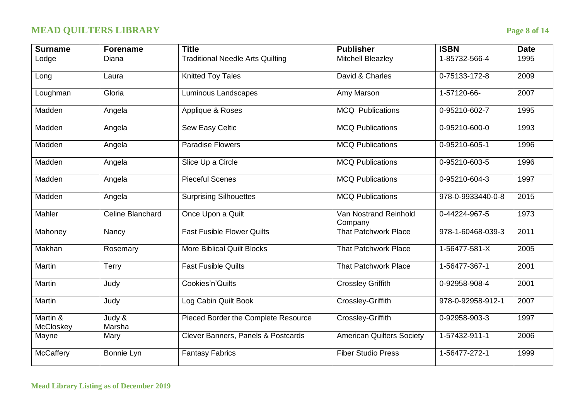# **MEAD QUILTERS LIBRARY Page 8 of 14**

| <b>Surname</b>        | <b>Forename</b>                        | <b>Title</b>                            | <b>Publisher</b>                 | <b>ISBN</b>       | <b>Date</b> |
|-----------------------|----------------------------------------|-----------------------------------------|----------------------------------|-------------------|-------------|
| Lodge                 | Diana                                  | <b>Traditional Needle Arts Quilting</b> | <b>Mitchell Bleazley</b>         | 1-85732-566-4     | 1995        |
| Long                  | Laura                                  | <b>Knitted Toy Tales</b>                | David & Charles                  | 0-75133-172-8     | 2009        |
| Loughman              | Gloria                                 | <b>Luminous Landscapes</b>              | Amy Marson                       | 1-57120-66-       | 2007        |
| Madden                | Angela                                 | Applique & Roses                        | <b>MCQ Publications</b>          | 0-95210-602-7     | 1995        |
| Madden                | Angela                                 | Sew Easy Celtic                         | <b>MCQ Publications</b>          | 0-95210-600-0     | 1993        |
| Madden                | Angela                                 | <b>Paradise Flowers</b>                 | <b>MCQ Publications</b>          | $0-95210-605-1$   | 1996        |
| Madden                | Angela                                 | Slice Up a Circle                       | <b>MCQ Publications</b>          | 0-95210-603-5     | 1996        |
| Madden                | Angela                                 | <b>Pieceful Scenes</b>                  | <b>MCQ Publications</b>          | 0-95210-604-3     | 1997        |
| Madden                | Angela                                 | <b>Surprising Silhouettes</b>           | <b>MCQ Publications</b>          | 978-0-9933440-0-8 | 2015        |
| Mahler                | Celine Blanchard                       | Once Upon a Quilt                       | Van Nostrand Reinhold<br>Company | 0-44224-967-5     | 1973        |
| Mahoney               | Nancy                                  | <b>Fast Fusible Flower Quilts</b>       | <b>That Patchwork Place</b>      | 978-1-60468-039-3 | 2011        |
| Makhan                | Rosemary                               | <b>More Biblical Quilt Blocks</b>       | <b>That Patchwork Place</b>      | 1-56477-581-X     | 2005        |
| Martin                | Terry                                  | <b>Fast Fusible Quilts</b>              | <b>That Patchwork Place</b>      | 1-56477-367-1     | 2001        |
| Martin                | Judy                                   | Cookies'n'Quilts                        | <b>Crossley Griffith</b>         | 0-92958-908-4     | 2001        |
| Martin                | Judy                                   | Log Cabin Quilt Book                    | Crossley-Griffith                | 978-0-92958-912-1 | 2007        |
| Martin &<br>McCloskey | Judy $\overline{\mathbf{g}}$<br>Marsha | Pieced Border the Complete Resource     | Crossley-Griffith                | 0-92958-903-3     | 1997        |
| Mayne                 | Mary                                   | Clever Banners, Panels & Postcards      | <b>American Quilters Society</b> | 1-57432-911-1     | 2006        |
| McCaffery             | Bonnie Lyn                             | <b>Fantasy Fabrics</b>                  | <b>Fiber Studio Press</b>        | 1-56477-272-1     | 1999        |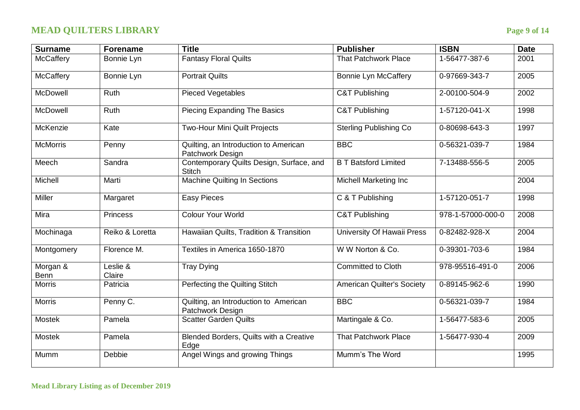# **MEAD QUILTERS LIBRARY Page 9 of 14**

| <b>Surname</b>   | <b>Forename</b>    | <b>Title</b>                                              | <b>Publisher</b>                  | <b>ISBN</b>       | <b>Date</b> |
|------------------|--------------------|-----------------------------------------------------------|-----------------------------------|-------------------|-------------|
| <b>McCaffery</b> | Bonnie Lyn         | <b>Fantasy Floral Quilts</b>                              | <b>That Patchwork Place</b>       | 1-56477-387-6     | 2001        |
| McCaffery        | Bonnie Lyn         | <b>Portrait Quilts</b>                                    | <b>Bonnie Lyn McCaffery</b>       | 0-97669-343-7     | 2005        |
| McDowell         | Ruth               | <b>Pieced Vegetables</b>                                  | <b>C&amp;T Publishing</b>         | 2-00100-504-9     | 2002        |
| McDowell         | Ruth               | Piecing Expanding The Basics                              | <b>C&amp;T Publishing</b>         | 1-57120-041-X     | 1998        |
| McKenzie         | Kate               | Two-Hour Mini Quilt Projects                              | <b>Sterling Publishing Co</b>     | 0-80698-643-3     | 1997        |
| <b>McMorris</b>  | Penny              | Quilting, an Introduction to American<br>Patchwork Design | <b>BBC</b>                        | 0-56321-039-7     | 1984        |
| Meech            | Sandra             | Contemporary Quilts Design, Surface, and<br><b>Stitch</b> | <b>B T Batsford Limited</b>       | 7-13488-556-5     | 2005        |
| Michell          | Marti              | <b>Machine Quilting In Sections</b>                       | <b>Michell Marketing Inc</b>      |                   | 2004        |
| Miller           | Margaret           | <b>Easy Pieces</b>                                        | $\overline{C \& T}$ Publishing    | 1-57120-051-7     | 1998        |
| Mira             | <b>Princess</b>    | <b>Colour Your World</b>                                  | <b>C&amp;T Publishing</b>         | 978-1-57000-000-0 | 2008        |
| Mochinaga        | Reiko & Loretta    | Hawaiian Quilts, Tradition & Transition                   | University Of Hawaii Press        | 0-82482-928-X     | 2004        |
| Montgomery       | Florence M.        | Textiles in America 1650-1870                             | W W Norton & Co.                  | 0-39301-703-6     | 1984        |
| Morgan &<br>Benn | Leslie &<br>Claire | <b>Tray Dying</b>                                         | <b>Committed to Cloth</b>         | 978-95516-491-0   | 2006        |
| <b>Morris</b>    | Patricia           | Perfecting the Quilting Stitch                            | <b>American Quilter's Society</b> | 0-89145-962-6     | 1990        |
| <b>Morris</b>    | Penny C.           | Quilting, an Introduction to American<br>Patchwork Design | <b>BBC</b>                        | 0-56321-039-7     | 1984        |
| <b>Mostek</b>    | Pamela             | <b>Scatter Garden Quilts</b>                              | Martingale & Co.                  | 1-56477-583-6     | 2005        |
| <b>Mostek</b>    | Pamela             | Blended Borders, Quilts with a Creative<br>Edge           | <b>That Patchwork Place</b>       | 1-56477-930-4     | 2009        |
| Mumm             | Debbie             | Angel Wings and growing Things                            | Mumm's The Word                   |                   | 1995        |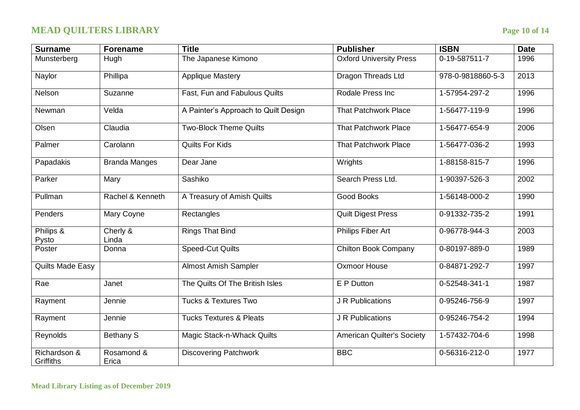# **MEAD QUILTERS LIBRARY Page 10 of 14**

| <b>Surname</b>            | <b>Forename</b>      | <b>Title</b>                         | <b>Publisher</b>                  | <b>ISBN</b>       | <b>Date</b> |
|---------------------------|----------------------|--------------------------------------|-----------------------------------|-------------------|-------------|
| Munsterberg               | Hugh                 | The Japanese Kimono                  | <b>Oxford University Press</b>    | 0-19-587511-7     | 1996        |
| Naylor                    | Phillipa             | <b>Applique Mastery</b>              | Dragon Threads Ltd                | 978-0-9818860-5-3 | 2013        |
| Nelson                    | Suzanne              | Fast, Fun and Fabulous Quilts        | Rodale Press Inc                  | 1-57954-297-2     | 1996        |
| Newman                    | Velda                | A Painter's Approach to Quilt Design | <b>That Patchwork Place</b>       | 1-56477-119-9     | 1996        |
| Olsen                     | Claudia              | Two-Block Theme Quilts               | <b>That Patchwork Place</b>       | 1-56477-654-9     | 2006        |
| Palmer                    | Carolann             | Quilts For Kids                      | <b>That Patchwork Place</b>       | 1-56477-036-2     | 1993        |
| Papadakis                 | <b>Branda Manges</b> | Dear Jane                            | Wrights                           | 1-88158-815-7     | 1996        |
| Parker                    | Mary                 | Sashiko                              | Search Press Ltd.                 | 1-90397-526-3     | 2002        |
| Pullman                   | Rachel & Kenneth     | A Treasury of Amish Quilts           | <b>Good Books</b>                 | 1-56148-000-2     | 1990        |
| Penders                   | Mary Coyne           | Rectangles                           | <b>Quilt Digest Press</b>         | 0-91332-735-2     | 1991        |
| Philips &<br>Pysto        | Cherly &<br>Linda    | <b>Rings That Bind</b>               | <b>Philips Fiber Art</b>          | 0-96778-944-3     | 2003        |
| Poster                    | Donna                | <b>Speed-Cut Quilts</b>              | <b>Chilton Book Company</b>       | 0-80197-889-0     | 1989        |
| <b>Quilts Made Easy</b>   |                      | <b>Almost Amish Sampler</b>          | Oxmoor House                      | 0-84871-292-7     | 1997        |
| Rae                       | Janet                | The Quilts Of The British Isles      | E P Dutton                        | 0-52548-341-1     | 1987        |
| Rayment                   | Jennie               | <b>Tucks &amp; Textures Two</b>      | J R Publications                  | 0-95246-756-9     | 1997        |
| Rayment                   | Jennie               | <b>Tucks Textures &amp; Pleats</b>   | J R Publications                  | 0-95246-754-2     | 1994        |
| Reynolds                  | <b>Bethany S</b>     | <b>Magic Stack-n-Whack Quilts</b>    | <b>American Quilter's Society</b> | 1-57432-704-6     | 1998        |
| Richardson &<br>Griffiths | Rosamond &<br>Erica  | <b>Discovering Patchwork</b>         | <b>BBC</b>                        | 0-56316-212-0     | 1977        |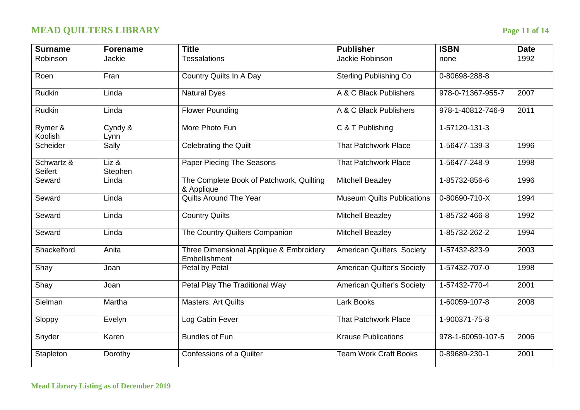# **MEAD QUILTERS LIBRARY Page 11 of 14**

| <b>Surname</b>        | <b>Forename</b>    | <b>Title</b>                                             | <b>Publisher</b>                  | <b>ISBN</b>           | <b>Date</b> |
|-----------------------|--------------------|----------------------------------------------------------|-----------------------------------|-----------------------|-------------|
| Robinson              | Jackie             | <b>Tessalations</b>                                      | Jackie Robinson                   | none                  | 1992        |
| Roen                  | Fran               | Country Quilts In A Day                                  | <b>Sterling Publishing Co</b>     | 0-80698-288-8         |             |
| <b>Rudkin</b>         | Linda              | <b>Natural Dyes</b>                                      | A & C Black Publishers            | 978-0-71367-955-7     | 2007        |
| <b>Rudkin</b>         | Linda              | <b>Flower Pounding</b>                                   | A & C Black Publishers            | 978-1-40812-746-9     | 2011        |
| Rymer &<br>Koolish    | Cyndy &<br>Lynn    | More Photo Fun                                           | C & T Publishing                  | 1-57120-131-3         |             |
| Scheider              | Sally              | <b>Celebrating the Quilt</b>                             | <b>That Patchwork Place</b>       | 1-56477-139-3         | 1996        |
| Schwartz &<br>Seifert | $Liz$ &<br>Stephen | Paper Piecing The Seasons                                | <b>That Patchwork Place</b>       | 1-56477-248-9         | 1998        |
| Seward                | Linda              | The Complete Book of Patchwork, Quilting<br>& Applique   | <b>Mitchell Beazley</b>           | 1-85732-856-6         | 1996        |
| Seward                | Linda              | Quilts Around The Year                                   | <b>Museum Quilts Publications</b> | $0 - 80690 - 710 - X$ | 1994        |
| Seward                | Linda              | <b>Country Quilts</b>                                    | <b>Mitchell Beazley</b>           | 1-85732-466-8         | 1992        |
| Seward                | Linda              | The Country Quilters Companion                           | <b>Mitchell Beazley</b>           | 1-85732-262-2         | 1994        |
| Shackelford           | Anita              | Three Dimensional Applique & Embroidery<br>Embellishment | <b>American Quilters Society</b>  | 1-57432-823-9         | 2003        |
| Shay                  | Joan               | Petal by Petal                                           | <b>American Quilter's Society</b> | 1-57432-707-0         | 1998        |
| Shay                  | Joan               | Petal Play The Traditional Way                           | <b>American Quilter's Society</b> | 1-57432-770-4         | 2001        |
| Sielman               | Martha             | <b>Masters: Art Quilts</b>                               | Lark Books                        | 1-60059-107-8         | 2008        |
| Sloppy                | Evelyn             | Log Cabin Fever                                          | <b>That Patchwork Place</b>       | 1-900371-75-8         |             |
| Snyder                | Karen              | <b>Bundles of Fun</b>                                    | <b>Krause Publications</b>        | 978-1-60059-107-5     | 2006        |
| Stapleton             | Dorothy            | Confessions of a Quilter                                 | <b>Team Work Craft Books</b>      | 0-89689-230-1         | 2001        |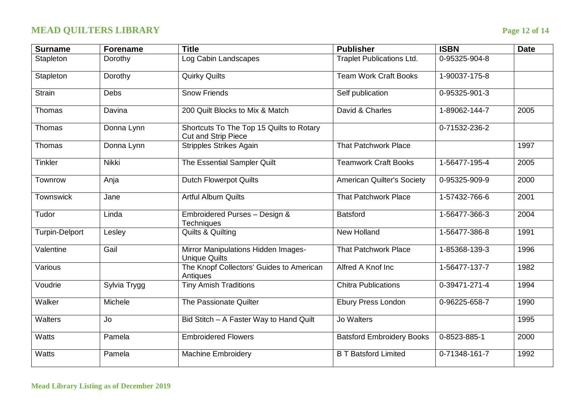# **MEAD QUILTERS LIBRARY Page 12 of 14**

| <b>Surname</b>        | <b>Forename</b> | <b>Title</b>                                                           | <b>Publisher</b>                  | <b>ISBN</b>   | <b>Date</b> |
|-----------------------|-----------------|------------------------------------------------------------------------|-----------------------------------|---------------|-------------|
| Stapleton             | Dorothy         | Log Cabin Landscapes                                                   | <b>Traplet Publications Ltd.</b>  | 0-95325-904-8 |             |
| Stapleton             | Dorothy         | <b>Quirky Quilts</b>                                                   | <b>Team Work Craft Books</b>      | 1-90037-175-8 |             |
| <b>Strain</b>         | Debs            | <b>Snow Friends</b>                                                    | Self publication                  | 0-95325-901-3 |             |
| Thomas                | Davina          | 200 Quilt Blocks to Mix & Match                                        | David & Charles                   | 1-89062-144-7 | 2005        |
| Thomas                | Donna Lynn      | Shortcuts To The Top 15 Quilts to Rotary<br><b>Cut and Strip Piece</b> |                                   | 0-71532-236-2 |             |
| Thomas                | Donna Lynn      | <b>Stripples Strikes Again</b>                                         | <b>That Patchwork Place</b>       |               | 1997        |
| <b>Tinkler</b>        | Nikki           | The Essential Sampler Quilt                                            | <b>Teamwork Craft Books</b>       | 1-56477-195-4 | 2005        |
| Townrow               | Anja            | <b>Dutch Flowerpot Quilts</b>                                          | <b>American Quilter's Society</b> | 0-95325-909-9 | 2000        |
| <b>Townswick</b>      | Jane            | <b>Artful Album Quilts</b>                                             | <b>That Patchwork Place</b>       | 1-57432-766-6 | 2001        |
| Tudor                 | Linda           | Embroidered Purses - Design &<br>Techniques                            | <b>Batsford</b>                   | 1-56477-366-3 | 2004        |
| <b>Turpin-Delport</b> | Lesley          | <b>Quilts &amp; Quilting</b>                                           | New Holland                       | 1-56477-386-8 | 1991        |
| Valentine             | Gail            | Mirror Manipulations Hidden Images-<br><b>Unique Quilts</b>            | <b>That Patchwork Place</b>       | 1-85368-139-3 | 1996        |
| Various               |                 | The Knopf Collectors' Guides to American<br>Antiques                   | Alfred A Knof Inc                 | 1-56477-137-7 | 1982        |
| Voudrie               | Sylvia Trygg    | <b>Tiny Amish Traditions</b>                                           | <b>Chitra Publications</b>        | 0-39471-271-4 | 1994        |
| Walker                | Michele         | The Passionate Quilter                                                 | Ebury Press London                | 0-96225-658-7 | 1990        |
| <b>Walters</b>        | Jo              | Bid Stitch - A Faster Way to Hand Quilt                                | Jo Walters                        |               | 1995        |
| <b>Watts</b>          | Pamela          | <b>Embroidered Flowers</b>                                             | <b>Batsford Embroidery Books</b>  | 0-8523-885-1  | 2000        |
| <b>Watts</b>          | Pamela          | <b>Machine Embroidery</b>                                              | <b>B T Batsford Limited</b>       | 0-71348-161-7 | 1992        |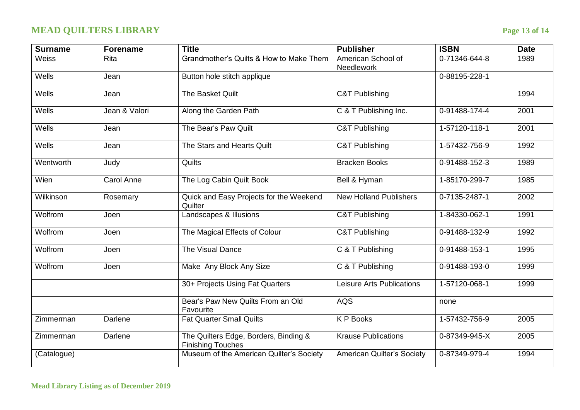# **MEAD QUILTERS LIBRARY Page 13 of 14**

| <b>Surname</b> | <b>Forename</b> | <b>Title</b>                                                      | <b>Publisher</b>                  | <b>ISBN</b>   | <b>Date</b> |
|----------------|-----------------|-------------------------------------------------------------------|-----------------------------------|---------------|-------------|
| Weiss          | <b>Rita</b>     | Grandmother's Quilts & How to Make Them                           | American School of<br>Needlework  | 0-71346-644-8 | 1989        |
| Wells          | Jean            | Button hole stitch applique                                       |                                   | 0-88195-228-1 |             |
| Wells          | Jean            | The Basket Quilt                                                  | <b>C&amp;T Publishing</b>         |               | 1994        |
| Wells          | Jean & Valori   | Along the Garden Path                                             | C & T Publishing Inc.             | 0-91488-174-4 | 2001        |
| Wells          | Jean            | The Bear's Paw Quilt                                              | <b>C&amp;T Publishing</b>         | 1-57120-118-1 | 2001        |
| Wells          | Jean            | The Stars and Hearts Quilt                                        | <b>C&amp;T Publishing</b>         | 1-57432-756-9 | 1992        |
| Wentworth      | Judy            | Quilts                                                            | <b>Bracken Books</b>              | 0-91488-152-3 | 1989        |
| Wien           | Carol Anne      | The Log Cabin Quilt Book                                          | Bell & Hyman                      | 1-85170-299-7 | 1985        |
| Wilkinson      | Rosemary        | Quick and Easy Projects for the Weekend<br>Quilter                | <b>New Holland Publishers</b>     | 0-7135-2487-1 | 2002        |
| Wolfrom        | Joen            | Landscapes & Illusions                                            | <b>C&amp;T Publishing</b>         | 1-84330-062-1 | 1991        |
| Wolfrom        | Joen            | The Magical Effects of Colour                                     | <b>C&amp;T Publishing</b>         | 0-91488-132-9 | 1992        |
| Wolfrom        | Joen            | The Visual Dance                                                  | C & T Publishing                  | 0-91488-153-1 | 1995        |
| Wolfrom        | Joen            | Make Any Block Any Size                                           | C & T Publishing                  | 0-91488-193-0 | 1999        |
|                |                 | 30+ Projects Using Fat Quarters                                   | Leisure Arts Publications         | 1-57120-068-1 | 1999        |
|                |                 | Bear's Paw New Quilts From an Old<br>Favourite                    | <b>AQS</b>                        | none          |             |
| Zimmerman      | Darlene         | <b>Fat Quarter Small Quilts</b>                                   | <b>KP</b> Books                   | 1-57432-756-9 | 2005        |
| Zimmerman      | Darlene         | The Quilters Edge, Borders, Binding &<br><b>Finishing Touches</b> | <b>Krause Publications</b>        | 0-87349-945-X | 2005        |
| (Catalogue)    |                 | Museum of the American Quilter's Society                          | <b>American Quilter's Society</b> | 0-87349-979-4 | 1994        |